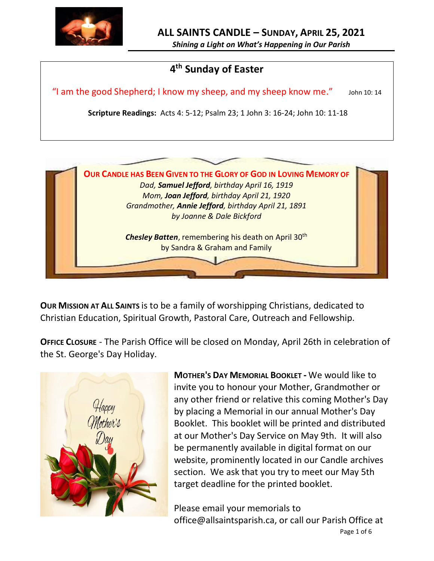

*Shining a Light on What's Happening in Our Parish*

# **4 th Sunday of Easter**

"I am the good Shepherd; I know my sheep, and my sheep know me." John 10: 14

**Scripture Readings:** Acts 4: 5-12; Psalm 23; 1 John 3: 16-24; John 10: 11-18



**OUR MISSION AT ALL SAINTS** is to be a family of worshipping Christians, dedicated to Christian Education, Spiritual Growth, Pastoral Care, Outreach and Fellowship.

**OFFICE CLOSURE** - The Parish Office will be closed on Monday, April 26th in celebration of the St. George's Day Holiday.



**MOTHER'S DAY MEMORIAL BOOKLET -** We would like to invite you to honour your Mother, Grandmother or any other friend or relative this coming Mother's Day by placing a Memorial in our annual Mother's Day Booklet. This booklet will be printed and distributed at our Mother's Day Service on May 9th. It will also be permanently available in digital format on our website, prominently located in our Candle archives section. We ask that you try to meet our May 5th target deadline for the printed booklet.

Please email your memorials to office@allsaintsparish.ca, or call our Parish Office at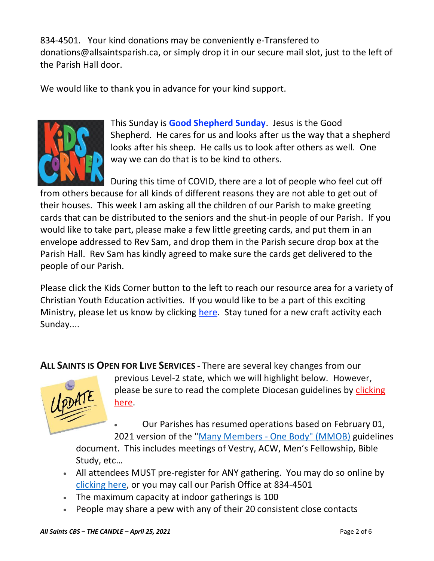834-4501. Your kind donations may be conveniently e-Transfered to donations@allsaintsparish.ca, or simply drop it in our secure mail slot, just to the left of the Parish Hall door.

We would like to thank you in advance for your kind support.



This Sunday is **Good Shepherd Sunday**. Jesus is the Good Shepherd. He cares for us and looks after us the way that a shepherd looks after his sheep. He calls us to look after others as well. One way we can do that is to be kind to others.

During this time of COVID, there are a lot of people who feel cut off from others because for all kinds of different reasons they are not able to get out of their houses. This week I am asking all the children of our Parish to make greeting cards that can be distributed to the seniors and the shut-in people of our Parish. If you would like to take part, please make a few little greeting cards, and put them in an envelope addressed to Rev Sam, and drop them in the Parish secure drop box at the Parish Hall. Rev Sam has kindly agreed to make sure the cards get delivered to the people of our Parish.

Please [click](http://allsaintsparish.ca/kids-corner) the Kids Corner button to the left to reach our resource area for a variety of Christian Youth Education activities. If you would like to be a part of this exciting Ministry, please let us know by clicking [here.](http://allsaintsparish.ca/index.html#comments) Stay tuned for a new craft activity each Sunday....

**ALL SAINTS IS OPEN FOR LIVE SERVICES -** There are several key changes from our



previous Level-2 state, which we will highlight below. However, please be sure to read the complete Diocesan guidelines by [clicking](http://allsaintsparish.ca/document_library/COVID-19/210324%20COVID-19%20Revised%20Alert%20Level%202%20effective%20March%2027%202021.pdf)  [here.](http://allsaintsparish.ca/document_library/COVID-19/210324%20COVID-19%20Revised%20Alert%20Level%202%20effective%20March%2027%202021.pdf)

• Our Parishes has resumed operations based on February 01, 2021 version of the "Many Members - [One Body" \(MMOB\)](https://anglicanenl.net/home/wp-content/uploads/2021/02/Many-Members-One-Body-February-2021.pdf) guidelines

document. This includes meetings of Vestry, ACW, Men's Fellowship, Bible Study, etc…

- All attendees MUST pre-register for ANY gathering. You may do so online by [clicking here,](http://allsaintsparish.ca/covid-pre-registration-form) or you may call our Parish Office at 834-4501
- The maximum capacity at indoor gatherings is 100
- People may share a pew with any of their 20 consistent close contacts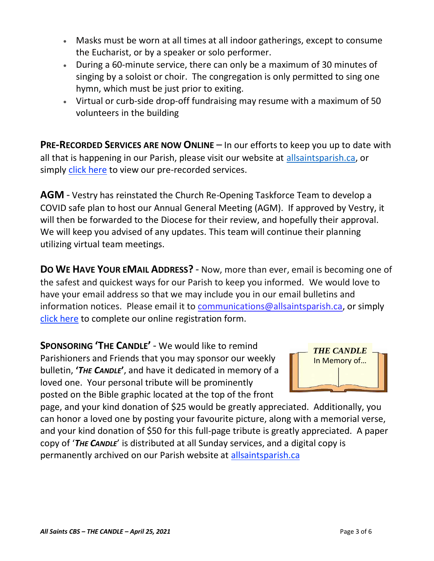- Masks must be worn at all times at all indoor gatherings, except to consume the Eucharist, or by a speaker or solo performer.
- During a 60-minute service, there can only be a maximum of 30 minutes of singing by a soloist or choir. The congregation is only permitted to sing one hymn, which must be just prior to exiting.
- Virtual or curb-side drop-off fundraising may resume with a maximum of 50 volunteers in the building

**PRE-RECORDED SERVICES ARE NOW ONLINE** – In our efforts to keep you up to date with all that is happening in our Parish, please visit our website at [allsaintsparish.ca,](http://allsaintsparish.ca/) or simply [click here](http://allsaintsparish.ca/recorded-church-services) to view our pre-recorded services.

**AGM** - Vestry has reinstated the Church Re-Opening Taskforce Team to develop a COVID safe plan to host our Annual General Meeting (AGM). If approved by Vestry, it will then be forwarded to the Diocese for their review, and hopefully their approval. We will keep you advised of any updates. This team will continue their planning utilizing virtual team meetings.

**DO WE HAVE YOUR EMAIL ADDRESS?** - Now, more than ever, email is becoming one of the safest and quickest ways for our Parish to keep you informed. We would love to have your email address so that we may include you in our email bulletins and information notices. Please email it to [communications@allsaintsparish.ca,](mailto:communications@allsaintsparish.ca?subject=eMail%20Address%20Update) or simply [click here](http://allsaintsparish.ca/email_updates) to complete our online registration form.

**SPONSORING 'THE CANDLE'** - We would like to remind Parishioners and Friends that you may sponsor our weekly bulletin, **'***THE CANDLE***'**, and have it dedicated in memory of a loved one. Your personal tribute will be prominently posted on the Bible graphic located at the top of the front



page, and your kind donation of \$25 would be greatly appreciated. Additionally, you can honor a loved one by posting your favourite picture, along with a memorial verse, and your kind donation of \$50 for this full-page tribute is greatly appreciated. A paper copy of '*THE CANDLE*' is distributed at all Sunday services, and a digital copy is permanently archived on our Parish website at [allsaintsparish.ca](http://allsaintsparish.ca/thecandle.html)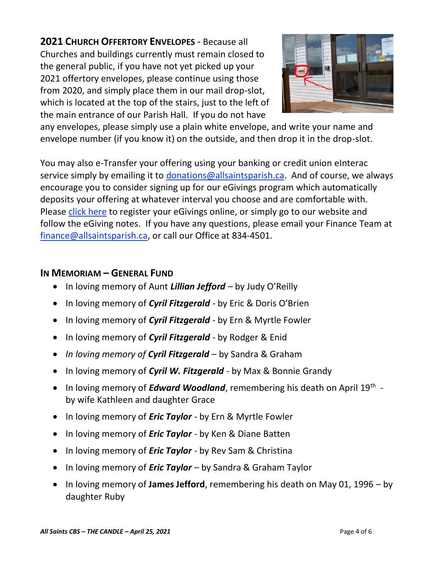**2021 CHURCH OFFERTORY ENVELOPES** - Because all Churches and buildings currently must remain closed to the general public, if you have not yet picked up your 2021 offertory envelopes, please continue using those from 2020, and simply place them in our mail drop-slot, which is located at the top of the stairs, just to the left of the main entrance of our Parish Hall. If you do not have



any envelopes, please simply use a plain white envelope, and write your name and envelope number (if you know it) on the outside, and then drop it in the drop-slot.

You may also e-Transfer your offering using your banking or credit union eInterac service simply by emailing it to [donations@allsaintsparish.ca.](mailto:donations@allsaintsparish.ca) And of course, we always encourage you to consider signing up for our eGivings program which automatically deposits your offering at whatever interval you choose and are comfortable with. Please [click here](http://allsaintsparish.ca/egiving-online-information-form) to register your eGivings online, or simply go to our website and follow the eGiving notes. If you have [any](https://wfsites-to.websitecreatorprotool.com/870a5dd5.com/Admin/%7BSK_NODEID__22939341__SK%7D) questions, please email your Finance Team at [finance@allsaintsparish.ca,](mailto:finance@allsaintsparish.ca) or call our Office at 834-4501.

# **IN MEMORIAM – GENERAL FUND**

- In loving memory of Aunt *Lillian Jefford* by Judy O'Reilly
- In loving memory of *Cyril Fitzgerald* by Eric & Doris O'Brien
- In loving memory of *Cyril Fitzgerald* by Ern & Myrtle Fowler
- In loving memory of *Cyril Fitzgerald* by Rodger & Enid
- *In loving memory of Cyril Fitzgerald* by Sandra & Graham
- In loving memory of *Cyril W. Fitzgerald* by Max & Bonnie Grandy
- In loving memory of *Edward Woodland*, remembering his death on April 19<sup>th</sup> by wife Kathleen and daughter Grace
- In loving memory of *Eric Taylor* by Ern & Myrtle Fowler
- In loving memory of *Eric Taylor* by Ken & Diane Batten
- In loving memory of *Eric Taylor* by Rev Sam & Christina
- In loving memory of *Eric Taylor* by Sandra & Graham Taylor
- In loving memory of **James Jefford**, remembering his death on May 01, 1996 by daughter Ruby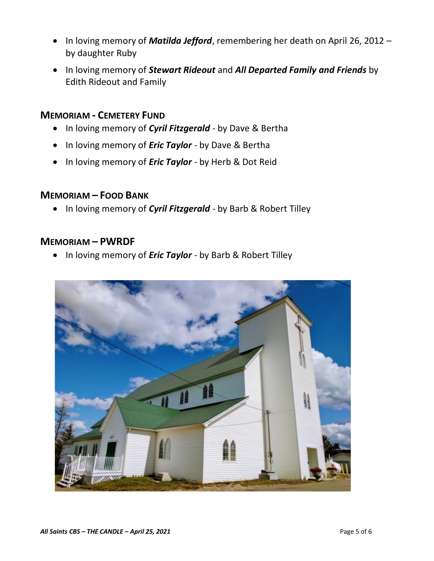- In loving memory of *Matilda Jefford*, remembering her death on April 26, 2012 by daughter Ruby
- In loving memory of *Stewart Rideout* and *All Departed Family and Friends* by Edith Rideout and Family

## **MEMORIAM - CEMETERY FUND**

- In loving memory of *Cyril Fitzgerald* by Dave & Bertha
- In loving memory of *Eric Taylor* by Dave & Bertha
- In loving memory of *Eric Taylor* by Herb & Dot Reid

## **MEMORIAM – FOOD BANK**

• In loving memory of *Cyril Fitzgerald* - by Barb & Robert Tilley

## **MEMORIAM – PWRDF**

• In loving memory of *Eric Taylor* - by Barb & Robert Tilley